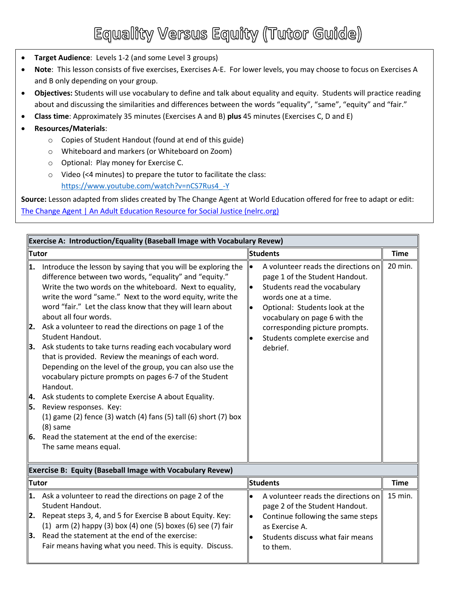## Equality Versus Equity (Tutor Guide)

- **Target Audience**: Levels 1-2 (and some Level 3 groups)
- **Note**: This lesson consists of five exercises, Exercises A-E. For lower levels, you may choose to focus on Exercises A and B only depending on your group.
- **Objectives:** Students will use vocabulary to define and talk about equality and equity. Students will practice reading about and discussing the similarities and differences between the words "equality", "same", "equity" and "fair."
- **Class time**: Approximately 35 minutes (Exercises A and B) **plus** 45 minutes (Exercises C, D and E)
- **Resources/Materials**:
	- o Copies of Student Handout (found at end of this guide)
	- o Whiteboard and markers (or Whiteboard on Zoom)
	- o Optional: Play money for Exercise C.
	- o Video (<4 minutes) to prepare the tutor to facilitate the class: [https://www.youtube.com/watch?v=nCS7Rus4\\_-Y](https://www.youtube.com/watch?v=nCS7Rus4_-Y)

**Source:** Lesson adapted from slides created by The Change Agent at World Education offered for free to adapt or edit: [The Change Agent | An Adult Education Resource for Social Justice \(nelrc.org\)](https://changeagent.nelrc.org/)

| Exercise A: Introduction/Equality (Baseball Image with Vocabulary Revew) |                                                                                                                                                                                                                                                                                                                                                                                                                                                                                                                                                                                                                                                                                                                                                                                                                                                                                                                                         |                 |                                                                                                                                                                                                                                                                                  |             |  |  |
|--------------------------------------------------------------------------|-----------------------------------------------------------------------------------------------------------------------------------------------------------------------------------------------------------------------------------------------------------------------------------------------------------------------------------------------------------------------------------------------------------------------------------------------------------------------------------------------------------------------------------------------------------------------------------------------------------------------------------------------------------------------------------------------------------------------------------------------------------------------------------------------------------------------------------------------------------------------------------------------------------------------------------------|-----------------|----------------------------------------------------------------------------------------------------------------------------------------------------------------------------------------------------------------------------------------------------------------------------------|-------------|--|--|
| Tutor                                                                    |                                                                                                                                                                                                                                                                                                                                                                                                                                                                                                                                                                                                                                                                                                                                                                                                                                                                                                                                         | <b>Students</b> |                                                                                                                                                                                                                                                                                  | <b>Time</b> |  |  |
| 1.<br>2.<br>13.<br>4.<br>5.<br>l6.                                       | Introduce the lesson by saying that you will be exploring the<br>difference between two words, "equality" and "equity."<br>Write the two words on the whiteboard. Next to equality,<br>write the word "same." Next to the word equity, write the<br>word "fair." Let the class know that they will learn about<br>about all four words.<br>Ask a volunteer to read the directions on page 1 of the<br>Student Handout.<br>Ask students to take turns reading each vocabulary word<br>that is provided. Review the meanings of each word.<br>Depending on the level of the group, you can also use the<br>vocabulary picture prompts on pages 6-7 of the Student<br>Handout.<br>Ask students to complete Exercise A about Equality.<br>Review responses. Key:<br>$(1)$ game $(2)$ fence $(3)$ watch $(4)$ fans $(5)$ tall $(6)$ short $(7)$ box<br>$(8)$ same<br>Read the statement at the end of the exercise:<br>The same means equal. | lo              | A volunteer reads the directions on<br>page 1 of the Student Handout.<br>Students read the vocabulary<br>words one at a time.<br>Optional: Students look at the<br>vocabulary on page 6 with the<br>corresponding picture prompts.<br>Students complete exercise and<br>debrief. | 20 min.     |  |  |
|                                                                          | <b>Exercise B: Equity (Baseball Image with Vocabulary Revew)</b>                                                                                                                                                                                                                                                                                                                                                                                                                                                                                                                                                                                                                                                                                                                                                                                                                                                                        |                 |                                                                                                                                                                                                                                                                                  |             |  |  |
| <b>Tutor</b>                                                             |                                                                                                                                                                                                                                                                                                                                                                                                                                                                                                                                                                                                                                                                                                                                                                                                                                                                                                                                         |                 | <b>Students</b>                                                                                                                                                                                                                                                                  |             |  |  |
|                                                                          | $ 1.$ Ask a volunteer to read the directions on page 2 of the<br><b>Student Handout.</b>                                                                                                                                                                                                                                                                                                                                                                                                                                                                                                                                                                                                                                                                                                                                                                                                                                                |                 | A volunteer reads the directions on<br>page 2 of the Student Handout.                                                                                                                                                                                                            | 15 min.     |  |  |
|                                                                          | <b>2.</b> Repeat steps 3, 4, and 5 for Exercise B about Equity. Key:                                                                                                                                                                                                                                                                                                                                                                                                                                                                                                                                                                                                                                                                                                                                                                                                                                                                    | lo              | Continue following the same steps                                                                                                                                                                                                                                                |             |  |  |

as Exercise A.

to them.

Students discuss what fair means

**2.** Repeat steps 3, 4, and 5 for Exercise B about Equity. Key: (1) arm (2) happy (3) box (4) one (5) boxes (6) see (7) fair

**3.** Read the statement at the end of the exercise: Fair means having what you need. This is equity. Discuss.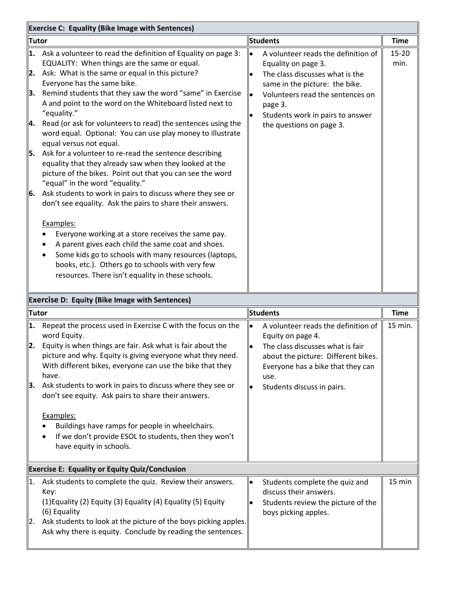| <b>Exercise C: Equality (Bike Image with Sentences)</b> |                                                                                                                                                                                                                                                                                                                                                                                                                                                                                                                                                                                                                                                                                      |                 |                                                                                                                                                                                                                                                |                   |
|---------------------------------------------------------|--------------------------------------------------------------------------------------------------------------------------------------------------------------------------------------------------------------------------------------------------------------------------------------------------------------------------------------------------------------------------------------------------------------------------------------------------------------------------------------------------------------------------------------------------------------------------------------------------------------------------------------------------------------------------------------|-----------------|------------------------------------------------------------------------------------------------------------------------------------------------------------------------------------------------------------------------------------------------|-------------------|
| <b>Tutor</b>                                            |                                                                                                                                                                                                                                                                                                                                                                                                                                                                                                                                                                                                                                                                                      | <b>Students</b> |                                                                                                                                                                                                                                                | <b>Time</b>       |
| 2.<br>3.<br>4.<br>5.                                    | 1. Ask a volunteer to read the definition of Equality on page 3:<br>EQUALITY: When things are the same or equal.<br>Ask: What is the same or equal in this picture?<br>Everyone has the same bike.<br>Remind students that they saw the word "same" in Exercise<br>A and point to the word on the Whiteboard listed next to<br>"equality."<br>Read (or ask for volunteers to read) the sentences using the<br>word equal. Optional: You can use play money to illustrate<br>equal versus not equal.<br>Ask for a volunteer to re-read the sentence describing<br>equality that they already saw when they looked at the<br>picture of the bikes. Point out that you can see the word |                 | A volunteer reads the definition of<br>Equality on page 3.<br>The class discusses what is the<br>same in the picture: the bike.<br>Volunteers read the sentences on<br>page 3.<br>Students work in pairs to answer<br>the questions on page 3. | $15 - 20$<br>min. |
| 6.                                                      | "equal" in the word "equality."<br>Ask students to work in pairs to discuss where they see or<br>don't see equality. Ask the pairs to share their answers.<br>Examples:<br>Everyone working at a store receives the same pay.<br>A parent gives each child the same coat and shoes.<br>Some kids go to schools with many resources (laptops,<br>books, etc.). Others go to schools with very few<br>resources. There isn't equality in these schools.                                                                                                                                                                                                                                |                 |                                                                                                                                                                                                                                                |                   |
|                                                         | <b>Exercise D: Equity (Bike Image with Sentences)</b>                                                                                                                                                                                                                                                                                                                                                                                                                                                                                                                                                                                                                                |                 |                                                                                                                                                                                                                                                |                   |
| <b>Tutor</b>                                            |                                                                                                                                                                                                                                                                                                                                                                                                                                                                                                                                                                                                                                                                                      | <b>Students</b> |                                                                                                                                                                                                                                                | <b>Time</b>       |
| 2.<br>3.                                                | 1. Repeat the process used in Exercise C with the focus on the<br>word Equity.<br>Equity is when things are fair. Ask what is fair about the<br>picture and why. Equity is giving everyone what they need.<br>With different bikes, everyone can use the bike that they<br>have.<br>Ask students to work in pairs to discuss where they see or<br>don't see equity. Ask pairs to share their answers.<br>Examples:<br>Buildings have ramps for people in wheelchairs.<br>If we don't provide ESOL to students, then they won't<br>have equity in schools.                                                                                                                            | $\bullet$       | A volunteer reads the definition of<br>Equity on page 4.<br>The class discusses what is fair<br>about the picture: Different bikes.<br>Everyone has a bike that they can<br>use.<br>Students discuss in pairs.                                 | 15 min.           |
| <b>Exercise E: Equality or Equity Quiz/Conclusion</b>   |                                                                                                                                                                                                                                                                                                                                                                                                                                                                                                                                                                                                                                                                                      |                 |                                                                                                                                                                                                                                                |                   |
| $\vert 1. \vert$<br>2.                                  | Ask students to complete the quiz. Review their answers.<br>Key:<br>(1) Equality (2) Equity (3) Equality (4) Equality (5) Equity<br>(6) Equality<br>Ask students to look at the picture of the boys picking apples.<br>Ask why there is equity. Conclude by reading the sentences.                                                                                                                                                                                                                                                                                                                                                                                                   | $\bullet$       | Students complete the quiz and<br>discuss their answers.<br>Students review the picture of the<br>boys picking apples.                                                                                                                         | 15 min            |
|                                                         |                                                                                                                                                                                                                                                                                                                                                                                                                                                                                                                                                                                                                                                                                      |                 |                                                                                                                                                                                                                                                |                   |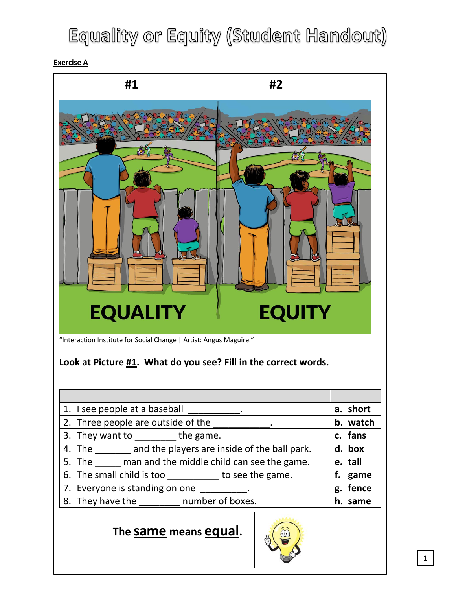## Equality or Equity (Student Handout)

**Exercise A**



#### **The same means equal.**

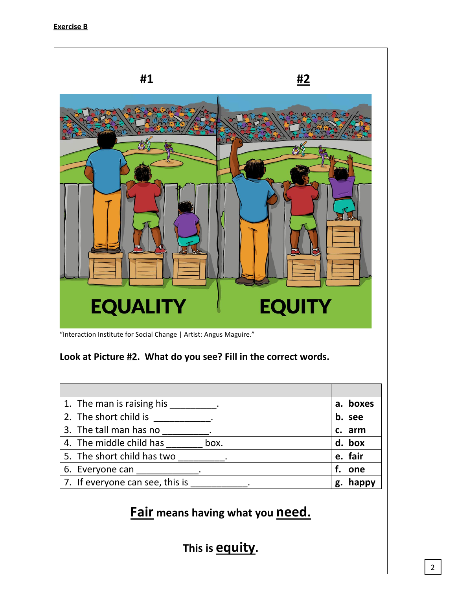

"Interaction Institute for Social Change | Artist: Angus Maguire."

#### **Look at Picture #2. What do you see? Fill in the correct words.**

| 1. The man is raising his       | boxes<br>а. |
|---------------------------------|-------------|
| 2. The short child is           | b. see      |
| 3. The tall man has no          | c. arm      |
| 4. The middle child has<br>box. | d. box      |
| 5. The short child has two      | e. fair     |
| 6. Everyone can                 | one         |
| 7. If everyone can see, this is | happy<br>g. |

### **Fair means having what you need.**

**This is equity.**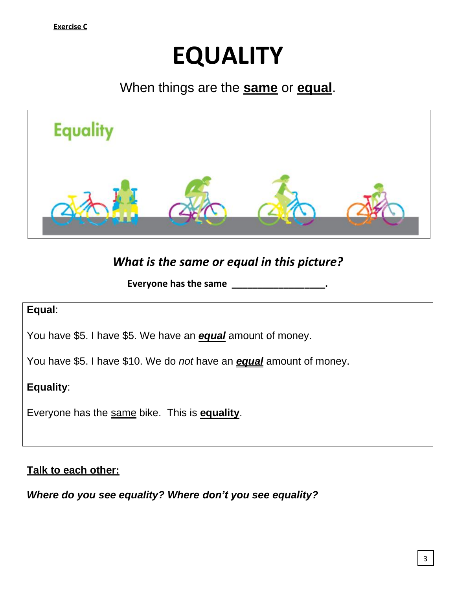# **EQUALITY**

### When things are the **same** or **equal**.



### *What is the same or equal in this picture?*

**Everyone has the same \_\_\_\_\_\_\_\_\_\_\_\_\_\_\_\_\_\_.**

#### **Equal**:

You have \$5. I have \$5. We have an *equal* amount of money.

You have \$5. I have \$10. We do *not* have an *equal* amount of money.

**Equality**:

Everyone has the same bike. This is **equality**.

#### **Talk to each other:**

*Where do you see equality? Where don't you see equality?*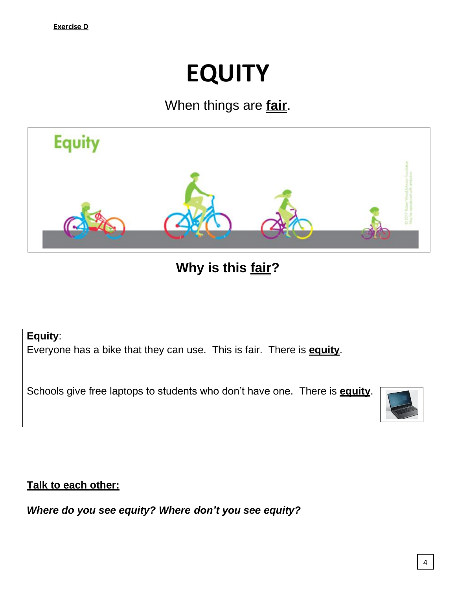# **EQUITY**

## When things are **fair**.



**Why is this fair?**

**Equity**:

Everyone has a bike that they can use. This is fair. There is **equity**.

Schools give free laptops to students who don't have one. There is **equity**.



**Talk to each other:**

*Where do you see equity? Where don't you see equity?*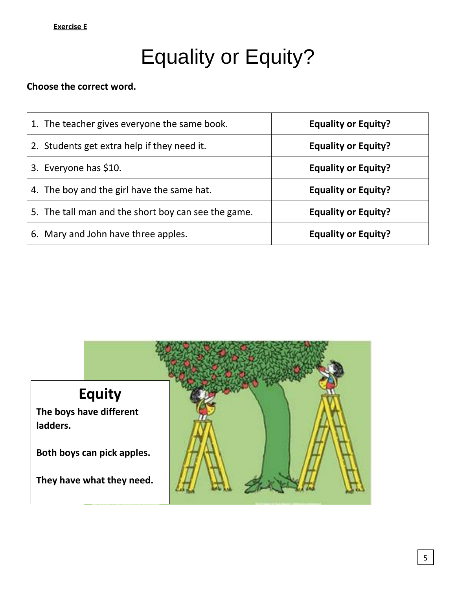#### **Exercise E**

## Equality or Equity?

#### **Choose the correct word.**

| 1. The teacher gives everyone the same book.        | <b>Equality or Equity?</b> |
|-----------------------------------------------------|----------------------------|
| 2. Students get extra help if they need it.         | <b>Equality or Equity?</b> |
| 3. Everyone has \$10.                               | <b>Equality or Equity?</b> |
| 4. The boy and the girl have the same hat.          | <b>Equality or Equity?</b> |
| 5. The tall man and the short boy can see the game. | <b>Equality or Equity?</b> |
| 6. Mary and John have three apples.                 | <b>Equality or Equity?</b> |

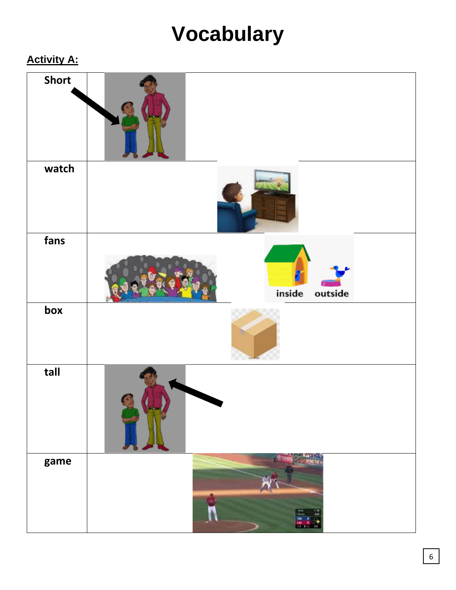## **Vocabulary**

### **Activity A:**

| <b>Short</b> |                                          |
|--------------|------------------------------------------|
| watch        |                                          |
| fans         | inside<br>outside                        |
| box          |                                          |
| tall         |                                          |
| game         | <b>TO TO</b><br>$\frac{1}{2}$<br>$^{24}$ |